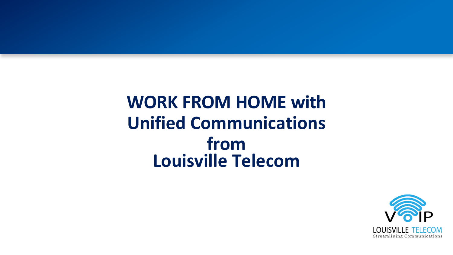# **WORK FROM HOME with Unified Communications from Louisville Telecom**

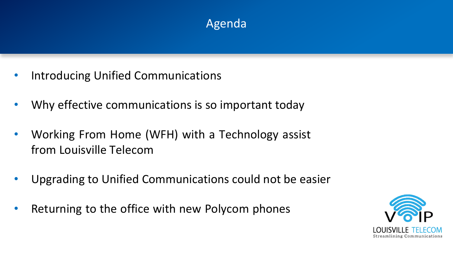# Agenda

- Introducing Unified Communications
- Why effective communications is so important today
- Working From Home (WFH) with a Technology assist from Louisville Telecom
- Upgrading to Unified Communications could not be easier
- Returning to the office with new Polycom phones

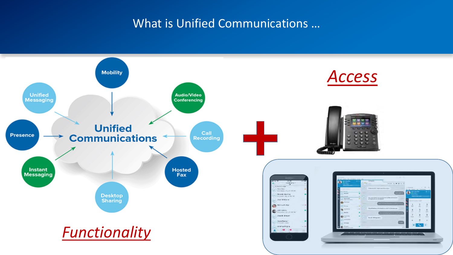### What is Unified Communications …

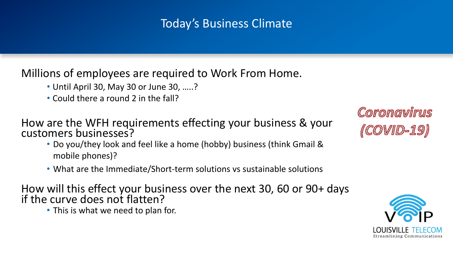## Today's Business Climate

### Millions of employees are required to Work From Home.

- Until April 30, May 30 or June 30, …..?
- Could there a round 2 in the fall?

How are the WFH requirements effecting your business & your customers businesses?

- Do you/they look and feel like a home (hobby) business (think Gmail & mobile phones)?
- What are the Immediate/Short-term solutions vs sustainable solutions

How will this effect your business over the next 30, 60 or 90+ days if the curve does not flatten?

• This is what we need to plan for.

Coronavirus *(COVID-19)* 

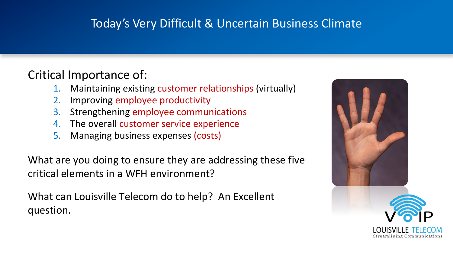# Today's Very Difficult & Uncertain Business Climate

# Critical Importance of:

- Maintaining existing customer relationships (virtually)
- 2. Improving employee productivity
- 3. Strengthening employee communications
- 4. The overall customer service experience
- 5. Managing business expenses (costs)

What are you doing to ensure they are addressing these five critical elements in a WFH environment?

What can Louisville Telecom do to help? An Excellent question.

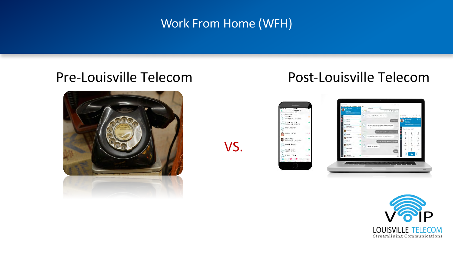## Work From Home (WFH)

VS.



# Pre-Louisville Telecom Post-Louisville Telecom





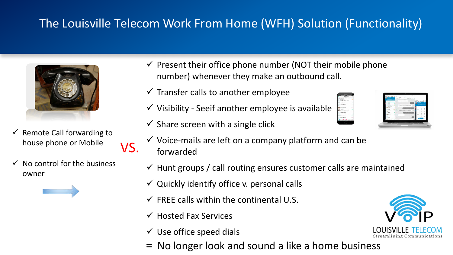# The Louisville Telecom Work From Home (WFH) Solution (Functionality)



Remote Call forwarding to house phone or Mobile

VS.

No control for the business owner



- $\checkmark$  Present their office phone number (NOT their mobile phone number) whenever they make an outbound call.
- $\checkmark$  Transfer calls to another employee
- $\checkmark$  Visibility Seeif another employee is available
- $\checkmark$  Share screen with a single click
- $\checkmark$  Voice-mails are left on a company platform and can be forwarded
- $\checkmark$  Hunt groups / call routing ensures customer calls are maintained
- $\checkmark$  Quickly identify office v. personal calls
- $\checkmark$  FREE calls within the continental U.S.
- $\checkmark$  Hosted Fax Services
- $\checkmark$  Use office speed dials
- = No longer look and sound a like a home business



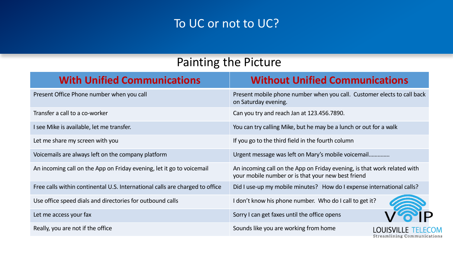### To UC or not to UC?

### Painting the Picture

| <b>With Unified Communications</b>                                           | <b>Without Unified Communications</b>                                                                                          |
|------------------------------------------------------------------------------|--------------------------------------------------------------------------------------------------------------------------------|
| Present Office Phone number when you call                                    | Present mobile phone number when you call. Customer elects to call back<br>on Saturday evening.                                |
| Transfer a call to a co-worker                                               | Can you try and reach Jan at 123.456.7890.                                                                                     |
| I see Mike is available, let me transfer.                                    | You can try calling Mike, but he may be a lunch or out for a walk                                                              |
| Let me share my screen with you                                              | If you go to the third field in the fourth column                                                                              |
| Voicemails are always left on the company platform                           | Urgent message was left on Mary's mobile voicemail                                                                             |
| An incoming call on the App on Friday evening, let it go to voicemail        | An incoming call on the App on Friday evening, is that work related with<br>your mobile number or is that your new best friend |
| Free calls within continental U.S. International calls are charged to office | Did I use-up my mobile minutes? How do I expense international calls?                                                          |
| Use office speed dials and directories for outbound calls                    | I don't know his phone number. Who do I call to get it?                                                                        |
| Let me access your fax                                                       | Sorry I can get faxes until the office opens                                                                                   |
| Really, you are not if the office                                            | Sounds like you are working from home<br>Streamlining Communications                                                           |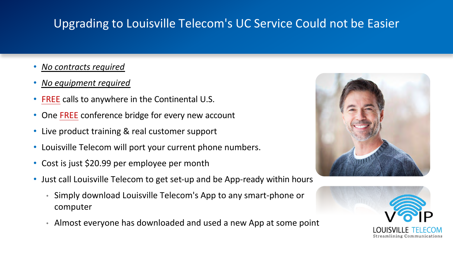# Upgrading to Louisville Telecom's UC Service Could not be Easier

- *No contracts required*
- *No equipment required*
- FREE calls to anywhere in the Continental U.S.
- One FREE conference bridge for every new account
- Live product training & real customer support
- Louisville Telecom will port your current phone numbers.
- Cost is just \$20.99 per employee per month
- Just call Louisville Telecom to get set-up and be App-ready within hours
	- Simply download Louisville Telecom's App to any smart-phone or computer
	- Almost everyone has downloaded and used a new App at some point